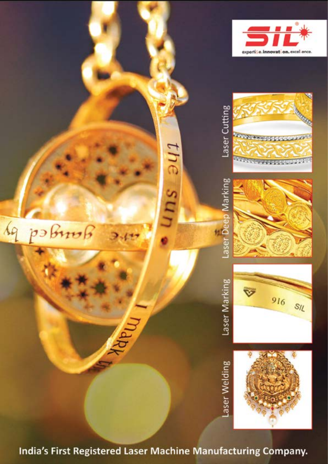











the su<sub>r</sub>

Jungey p)  $117$ 

India's First Registered Laser Machine Manufacturing Company.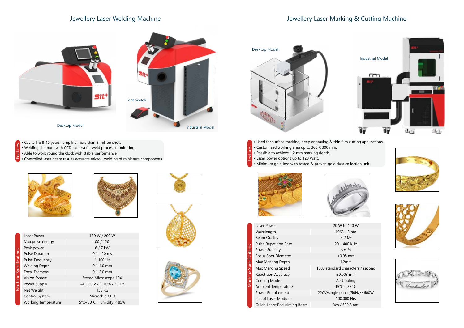## Jewellery Laser Welding Machine







cters / second  $50$ Hz/< $600W$ 









## Jewellery Laser Marking & Cutting Machine

- Used for surface marking, deep engraving & thin film cutting applications.
- Customized working area up to 300 X 300 mm. Features
	- Possible to achieve 1.2 mm marking depth.
	- Laser power options up to 120 Watt.
- Minimum gold loss with tested & proven gold dust collection unit.



- Cavity life 8-10 years, lamp life more than 3 million shots.
- Welding chamber with CCD camera for weld process monitoring.
- Able to work round the clock with stable performance.
- Controlled laser beam results accurate micro welding of miniature components.





| Laser Power                  | 20 W to 120 W            |
|------------------------------|--------------------------|
| Wavelength                   | $1063 \pm 3$ nm          |
| <b>Beam Quality</b>          | $< 2 M^2$                |
| <b>Pulse Repetition Rate</b> | 20 - 400 KHz             |
| Power Stability              | $\leq \pm 1\%$           |
| Focus Spot Diameter          | $< 0.05$ mm              |
| Max Marking Depth            | 1.2mm                    |
| Max Marking Speed            | 1500 standard characters |
| <b>Repetition Accuracy</b>   | $\pm 0.003$ mm           |
| Cooling Mode                 | Air Cooling              |
| Ambient Temperature          | $15^{\circ}$ C - 35° C   |
| Power Requirement            | 220V/single phase/50H:   |
| Life of Laser Module         | 100,000 Hrs              |
| Guide Laser/Red Aiming Beam  | Yes / 632.8 nm           |



Features

| Σ | Laser Power           |
|---|-----------------------|
|   | Max.pulse e           |
|   | Peak power            |
|   | Pulse Durat           |
|   | Pulse Frequ           |
|   | <b>Welding De</b>     |
|   | Focal Diame           |
|   | <b>Vision Syste</b>   |
|   | Power Supp            |
|   | Net Weight            |
|   | Control Syst          |
|   | $M_{\alpha}$ rking To |

| Laser Power                | 150 W / 200 W            |
|----------------------------|--------------------------|
| Max.pulse energy           | 100 / 120 J              |
| Peak power                 | $6/7$ kW                 |
| <b>Pulse Duration</b>      | $0.1 - 20$ ms            |
| <b>Pulse Frequency</b>     | $1 - 100$ Hz             |
| <b>Welding Depth</b>       | $0.1 - 4.0$ mm           |
| <b>Focal Diameter</b>      | $0.1 - 2.0$ mm           |
| Vision System              | Stereo Microscope 10X    |
| Power Supply               | AC 220 V / ± 10% / 50 Hz |
| Net Weight                 | 150 KG                   |
| Control System             | Microchip CPU            |
| <b>Working Temperature</b> | 5°C~30°C, Humidity < 85% |







Machine Specifications